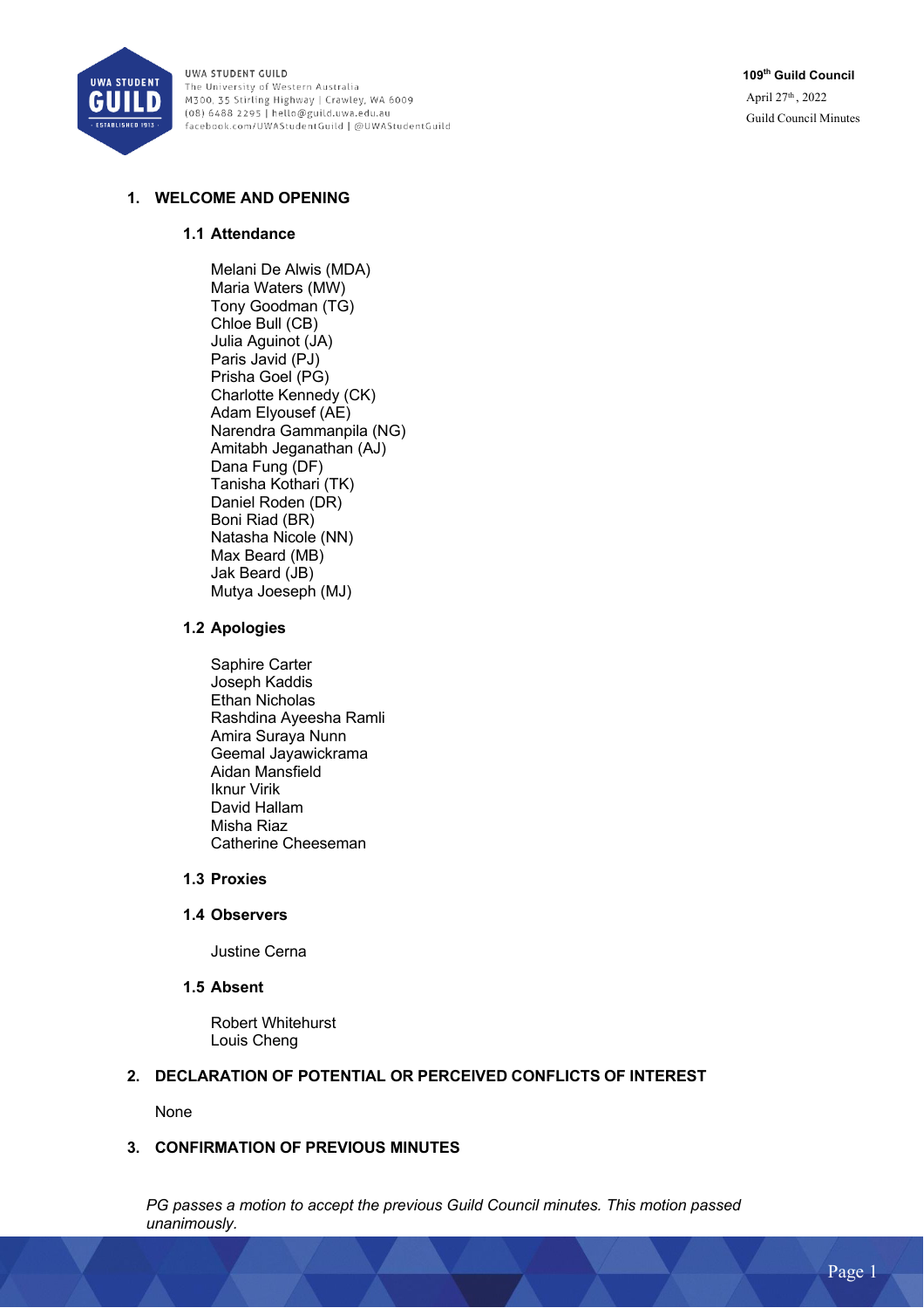

**109th Guild Council** April 27th , 2022 Guild Council Minutes

# **1. WELCOME AND OPENING**

### **1.1 Attendance**

Melani De Alwis (MDA) Maria Waters (MW) Tony Goodman (TG) Chloe Bull (CB) Julia Aguinot (JA) Paris Javid (PJ) Prisha Goel (PG) Charlotte Kennedy (CK) Adam Elyousef (AE) Narendra Gammanpila (NG) Amitabh Jeganathan (AJ) Dana Fung (DF) Tanisha Kothari (TK) Daniel Roden (DR) Boni Riad (BR) Natasha Nicole (NN) Max Beard (MB) Jak Beard (JB) Mutya Joeseph (MJ)

### **1.2 Apologies**

Saphire Carter Joseph Kaddis Ethan Nicholas Rashdina Ayeesha Ramli Amira Suraya Nunn Geemal Jayawickrama Aidan Mansfield Iknur Virik David Hallam Misha Riaz Catherine Cheeseman

## **1.3 Proxies**

#### **1.4 Observers**

Justine Cerna

## **1.5 Absent**

Robert Whitehurst Louis Cheng

### **2. DECLARATION OF POTENTIAL OR PERCEIVED CONFLICTS OF INTEREST**

None

## **3. CONFIRMATION OF PREVIOUS MINUTES**

*PG passes a motion to accept the previous Guild Council minutes. This motion passed unanimously.*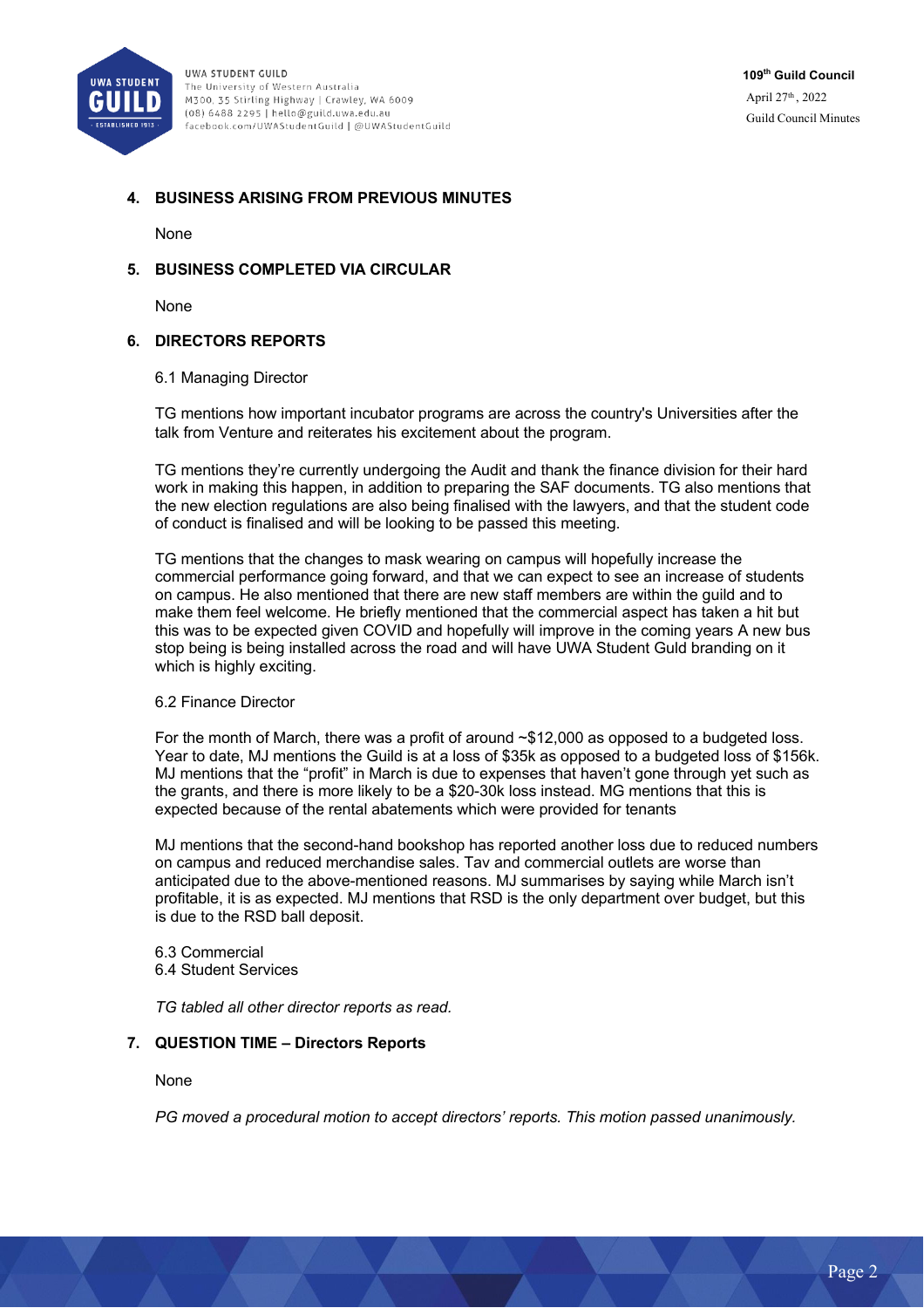

## **4. BUSINESS ARISING FROM PREVIOUS MINUTES**

**None** 

### **5. BUSINESS COMPLETED VIA CIRCULAR**

None

### **6. DIRECTORS REPORTS**

#### 6.1 Managing Director

TG mentions how important incubator programs are across the country's Universities after the talk from Venture and reiterates his excitement about the program.

TG mentions they're currently undergoing the Audit and thank the finance division for their hard work in making this happen, in addition to preparing the SAF documents. TG also mentions that the new election regulations are also being finalised with the lawyers, and that the student code of conduct is finalised and will be looking to be passed this meeting.

TG mentions that the changes to mask wearing on campus will hopefully increase the commercial performance going forward, and that we can expect to see an increase of students on campus. He also mentioned that there are new staff members are within the guild and to make them feel welcome. He briefly mentioned that the commercial aspect has taken a hit but this was to be expected given COVID and hopefully will improve in the coming years A new bus stop being is being installed across the road and will have UWA Student Guld branding on it which is highly exciting.

### 6.2 Finance Director

For the month of March, there was a profit of around ~\$12,000 as opposed to a budgeted loss. Year to date, MJ mentions the Guild is at a loss of \$35k as opposed to a budgeted loss of \$156k. MJ mentions that the "profit" in March is due to expenses that haven't gone through yet such as the grants, and there is more likely to be a \$20-30k loss instead. MG mentions that this is expected because of the rental abatements which were provided for tenants

MJ mentions that the second-hand bookshop has reported another loss due to reduced numbers on campus and reduced merchandise sales. Tav and commercial outlets are worse than anticipated due to the above-mentioned reasons. MJ summarises by saying while March isn't profitable, it is as expected. MJ mentions that RSD is the only department over budget, but this is due to the RSD ball deposit.

6.3 Commercial 6.4 Student Services

*TG tabled all other director reports as read.* 

### **7. QUESTION TIME – Directors Reports**

None

*PG moved a procedural motion to accept directors' reports. This motion passed unanimously.*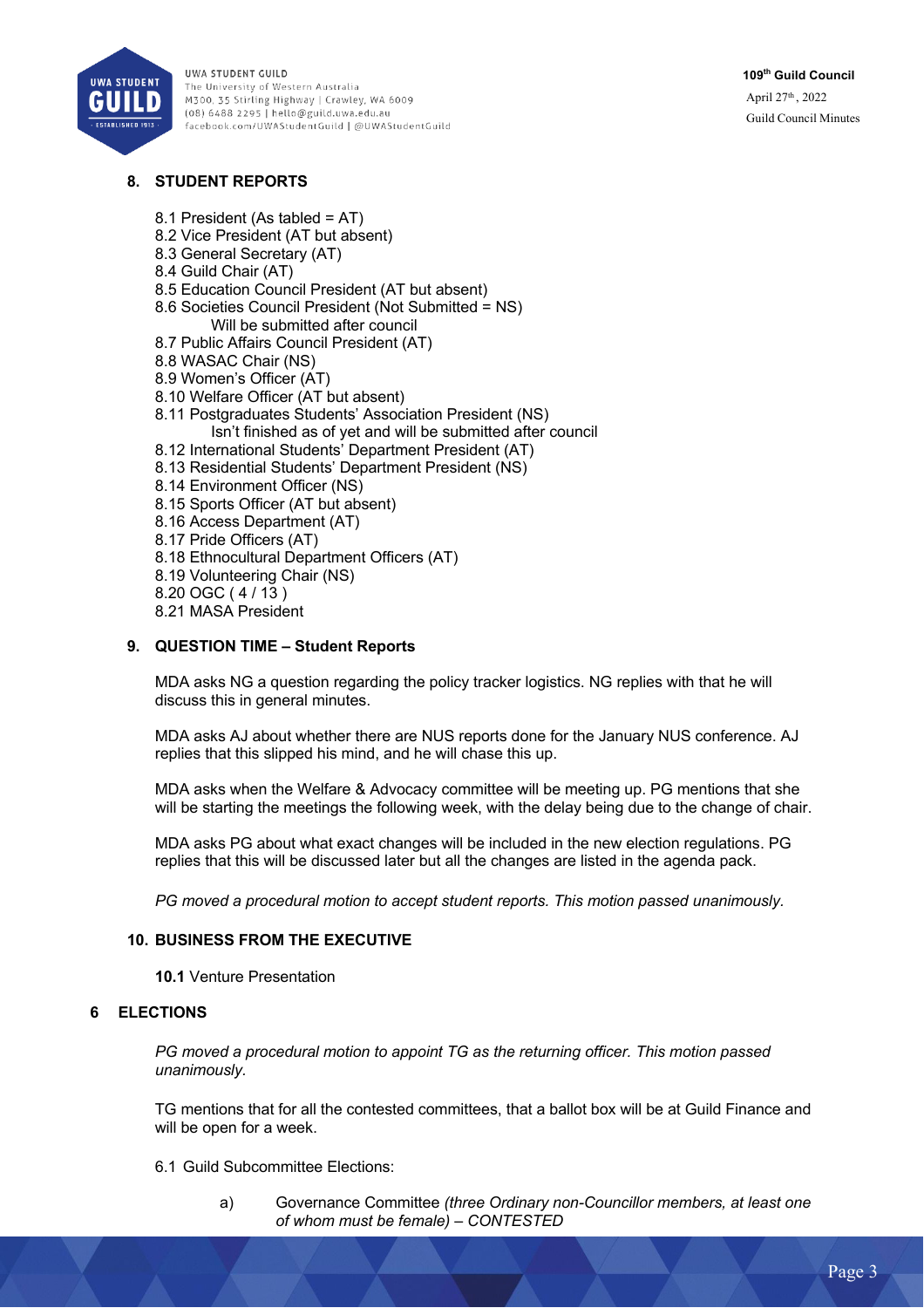

# **8. STUDENT REPORTS**

- 8.1 President (As tabled = AT)
- 8.2 Vice President (AT but absent)
- 8.3 General Secretary (AT)
- 8.4 Guild Chair (AT)
- 8.5 Education Council President (AT but absent)
- 8.6 Societies Council President (Not Submitted = NS) Will be submitted after council
- 8.7 Public Affairs Council President (AT)
- 8.8 WASAC Chair (NS)
- 8.9 Women's Officer (AT)
- 8.10 Welfare Officer (AT but absent)
- 8.11 Postgraduates Students' Association President (NS) Isn't finished as of yet and will be submitted after council
- 8.12 International Students' Department President (AT)
- 8.13 Residential Students' Department President (NS)
- 8.14 Environment Officer (NS)
- 8.15 Sports Officer (AT but absent)
- 8.16 Access Department (AT)
- 8.17 Pride Officers (AT)
- 8.18 Ethnocultural Department Officers (AT)
- 8.19 Volunteering Chair (NS)
- 8.20 OGC ( 4 / 13 )
- 8.21 MASA President

## **9. QUESTION TIME – Student Reports**

MDA asks NG a question regarding the policy tracker logistics. NG replies with that he will discuss this in general minutes.

MDA asks AJ about whether there are NUS reports done for the January NUS conference. AJ replies that this slipped his mind, and he will chase this up.

MDA asks when the Welfare & Advocacy committee will be meeting up. PG mentions that she will be starting the meetings the following week, with the delay being due to the change of chair.

MDA asks PG about what exact changes will be included in the new election regulations. PG replies that this will be discussed later but all the changes are listed in the agenda pack.

*PG moved a procedural motion to accept student reports. This motion passed unanimously.* 

### **10. BUSINESS FROM THE EXECUTIVE**

**10.1** Venture Presentation

## **6 ELECTIONS**

*PG moved a procedural motion to appoint TG as the returning officer. This motion passed unanimously.* 

TG mentions that for all the contested committees, that a ballot box will be at Guild Finance and will be open for a week.

### 6.1 Guild Subcommittee Elections:

a) Governance Committee *(three Ordinary non-Councillor members, at least one of whom must be female) – CONTESTED*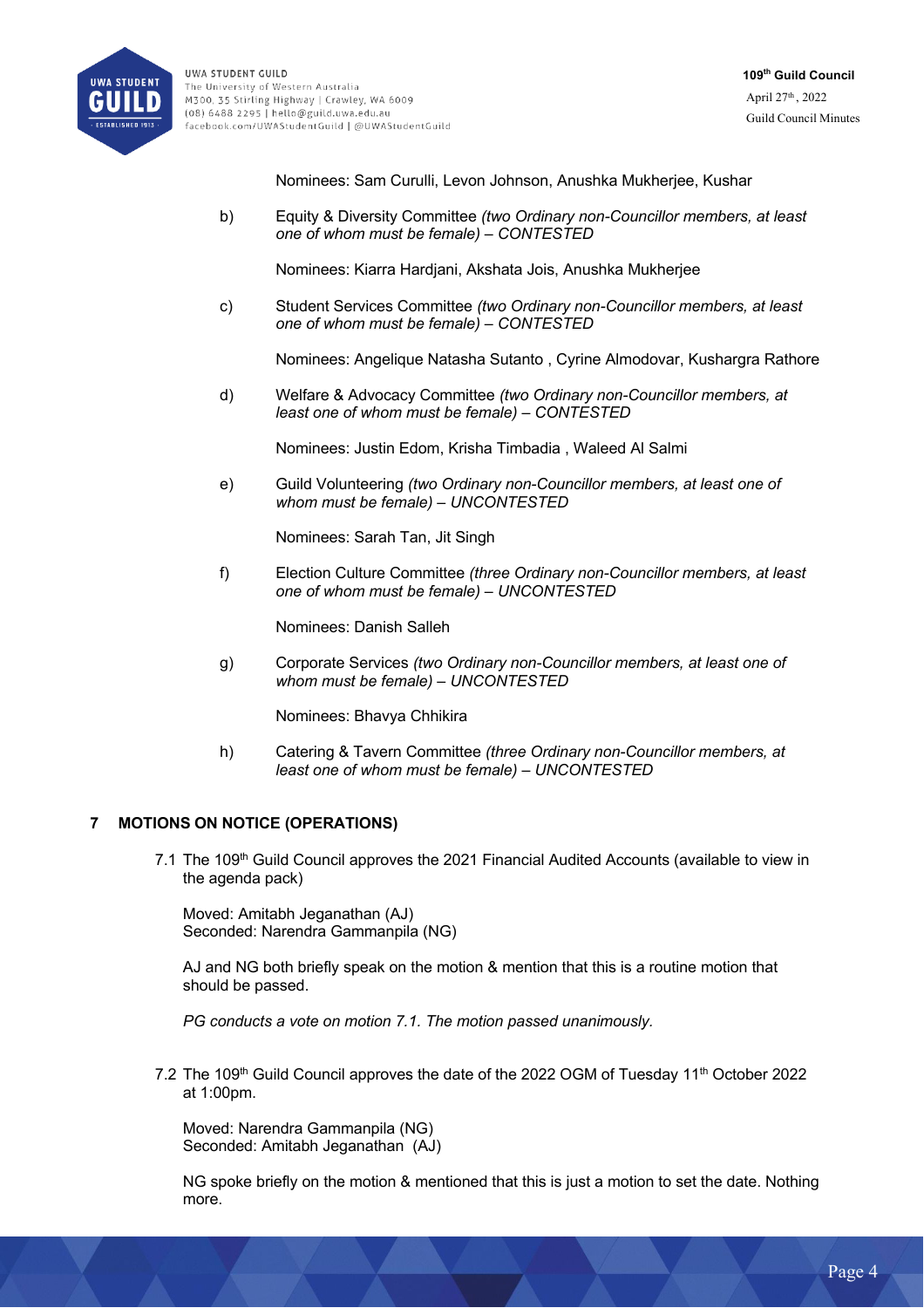

Nominees: Sam Curulli, Levon Johnson, Anushka Mukherjee, Kushar

b) Equity & Diversity Committee *(two Ordinary non-Councillor members, at least one of whom must be female) – CONTESTED*

Nominees: Kiarra Hardjani, Akshata Jois, Anushka Mukherjee

c) Student Services Committee *(two Ordinary non-Councillor members, at least one of whom must be female) – CONTESTED*

Nominees: Angelique Natasha Sutanto , Cyrine Almodovar, Kushargra Rathore

d) Welfare & Advocacy Committee *(two Ordinary non-Councillor members, at least one of whom must be female) – CONTESTED*

Nominees: Justin Edom, Krisha Timbadia , Waleed Al Salmi

e) Guild Volunteering *(two Ordinary non-Councillor members, at least one of whom must be female) – UNCONTESTED*

Nominees: Sarah Tan, Jit Singh

f) Election Culture Committee *(three Ordinary non-Councillor members, at least one of whom must be female) – UNCONTESTED*

Nominees: Danish Salleh

g) Corporate Services *(two Ordinary non-Councillor members, at least one of whom must be female) – UNCONTESTED*

Nominees: Bhavya Chhikira

h) Catering & Tavern Committee *(three Ordinary non-Councillor members, at least one of whom must be female) – UNCONTESTED*

## **7 MOTIONS ON NOTICE (OPERATIONS)**

7.1 The 109<sup>th</sup> Guild Council approves the 2021 Financial Audited Accounts (available to view in the agenda pack)

Moved: Amitabh Jeganathan (AJ) Seconded: Narendra Gammanpila (NG)

AJ and NG both briefly speak on the motion & mention that this is a routine motion that should be passed.

*PG conducts a vote on motion 7.1. The motion passed unanimously.* 

7.2 The 109<sup>th</sup> Guild Council approves the date of the 2022 OGM of Tuesday 11<sup>th</sup> October 2022 at 1:00pm.

Moved: Narendra Gammanpila (NG) Seconded: Amitabh Jeganathan (AJ)

NG spoke briefly on the motion & mentioned that this is just a motion to set the date. Nothing more.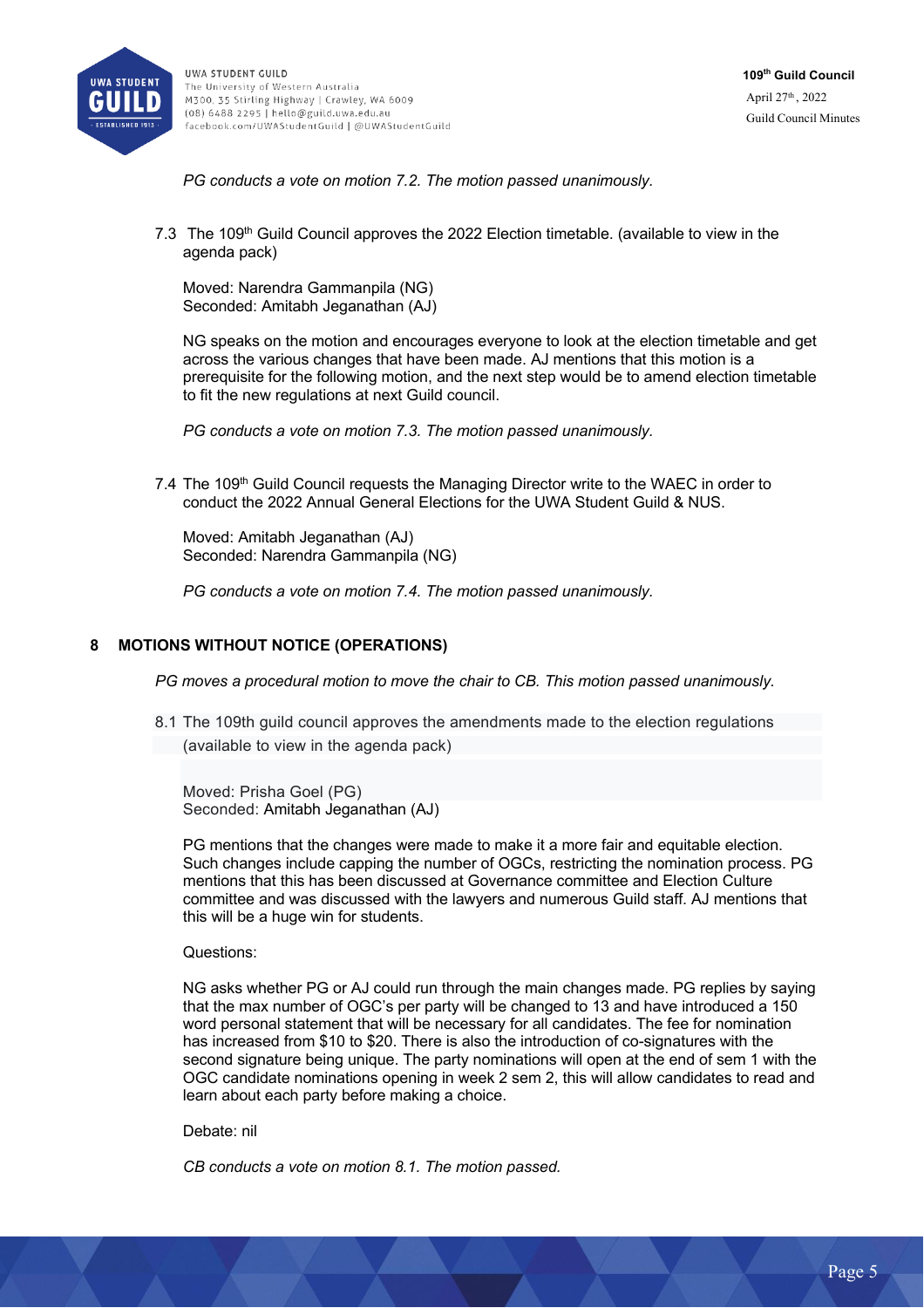

*PG conducts a vote on motion 7.2. The motion passed unanimously.* 

7.3 The 109<sup>th</sup> Guild Council approves the 2022 Election timetable. (available to view in the agenda pack)

Moved: Narendra Gammanpila (NG) Seconded: Amitabh Jeganathan (AJ)

NG speaks on the motion and encourages everyone to look at the election timetable and get across the various changes that have been made. AJ mentions that this motion is a prerequisite for the following motion, and the next step would be to amend election timetable to fit the new regulations at next Guild council.

*PG conducts a vote on motion 7.3. The motion passed unanimously.* 

7.4 The 109<sup>th</sup> Guild Council requests the Managing Director write to the WAEC in order to conduct the 2022 Annual General Elections for the UWA Student Guild & NUS.

Moved: Amitabh Jeganathan (AJ) Seconded: Narendra Gammanpila (NG)

*PG conducts a vote on motion 7.4. The motion passed unanimously.* 

### **8 MOTIONS WITHOUT NOTICE (OPERATIONS)**

*PG moves a procedural motion to move the chair to CB. This motion passed unanimously.* 

8.1 The 109th guild council approves the amendments made to the election regulations (available to view in the agenda pack)

Moved: Prisha Goel (PG) Seconded: Amitabh Jeganathan (AJ)

PG mentions that the changes were made to make it a more fair and equitable election. Such changes include capping the number of OGCs, restricting the nomination process. PG mentions that this has been discussed at Governance committee and Election Culture committee and was discussed with the lawyers and numerous Guild staff. AJ mentions that this will be a huge win for students.

Questions:

NG asks whether PG or AJ could run through the main changes made. PG replies by saying that the max number of OGC's per party will be changed to 13 and have introduced a 150 word personal statement that will be necessary for all candidates. The fee for nomination has increased from \$10 to \$20. There is also the introduction of co-signatures with the second signature being unique. The party nominations will open at the end of sem 1 with the OGC candidate nominations opening in week 2 sem 2, this will allow candidates to read and learn about each party before making a choice.

Debate: nil

*CB conducts a vote on motion 8.1. The motion passed.*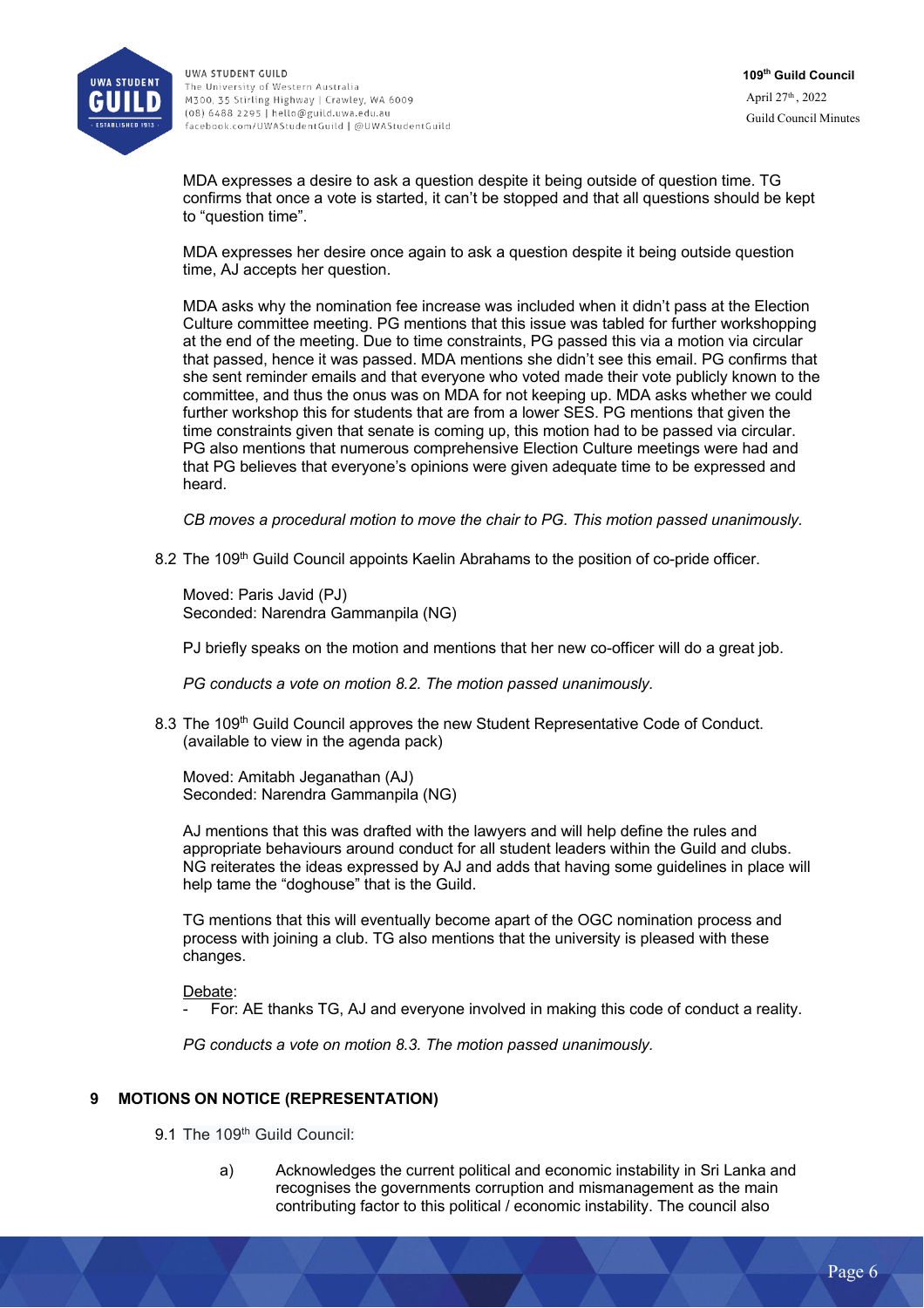

MDA expresses a desire to ask a question despite it being outside of question time. TG confirms that once a vote is started, it can't be stopped and that all questions should be kept to "question time".

MDA expresses her desire once again to ask a question despite it being outside question time, AJ accepts her question.

MDA asks why the nomination fee increase was included when it didn't pass at the Election Culture committee meeting. PG mentions that this issue was tabled for further workshopping at the end of the meeting. Due to time constraints, PG passed this via a motion via circular that passed, hence it was passed. MDA mentions she didn't see this email. PG confirms that she sent reminder emails and that everyone who voted made their vote publicly known to the committee, and thus the onus was on MDA for not keeping up. MDA asks whether we could further workshop this for students that are from a lower SES. PG mentions that given the time constraints given that senate is coming up, this motion had to be passed via circular. PG also mentions that numerous comprehensive Election Culture meetings were had and that PG believes that everyone's opinions were given adequate time to be expressed and heard.

*CB moves a procedural motion to move the chair to PG. This motion passed unanimously.* 

8.2 The 109<sup>th</sup> Guild Council appoints Kaelin Abrahams to the position of co-pride officer.

Moved: Paris Javid (PJ) Seconded: Narendra Gammanpila (NG)

PJ briefly speaks on the motion and mentions that her new co-officer will do a great job.

*PG conducts a vote on motion 8.2. The motion passed unanimously.* 

8.3 The 109<sup>th</sup> Guild Council approves the new Student Representative Code of Conduct. (available to view in the agenda pack)

Moved: Amitabh Jeganathan (AJ) Seconded: Narendra Gammanpila (NG)

AJ mentions that this was drafted with the lawyers and will help define the rules and appropriate behaviours around conduct for all student leaders within the Guild and clubs. NG reiterates the ideas expressed by AJ and adds that having some guidelines in place will help tame the "doghouse" that is the Guild.

TG mentions that this will eventually become apart of the OGC nomination process and process with joining a club. TG also mentions that the university is pleased with these changes.

Debate:

For: AE thanks TG, AJ and everyone involved in making this code of conduct a reality.

*PG conducts a vote on motion 8.3. The motion passed unanimously.* 

### **9 MOTIONS ON NOTICE (REPRESENTATION)**

9.1 The 109<sup>th</sup> Guild Council:

a) Acknowledges the current political and economic instability in Sri Lanka and recognises the governments corruption and mismanagement as the main contributing factor to this political / economic instability. The council also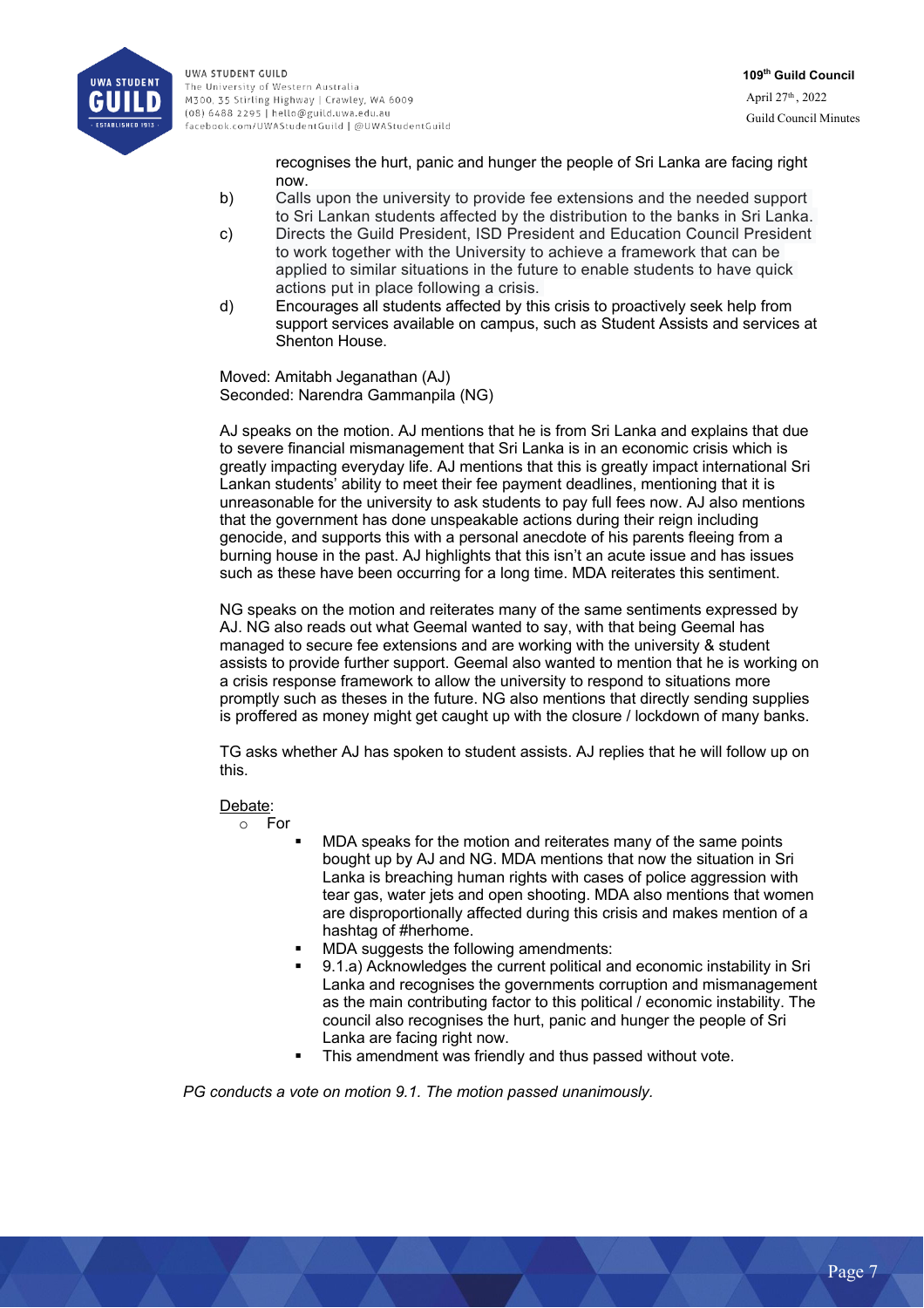

recognises the hurt, panic and hunger the people of Sri Lanka are facing right now.

- b) Calls upon the university to provide fee extensions and the needed support to Sri Lankan students affected by the distribution to the banks in Sri Lanka.
- c) Directs the Guild President, ISD President and Education Council President to work together with the University to achieve a framework that can be applied to similar situations in the future to enable students to have quick actions put in place following a crisis.
- d) Encourages all students affected by this crisis to proactively seek help from support services available on campus, such as Student Assists and services at Shenton House.

Moved: Amitabh Jeganathan (AJ) Seconded: Narendra Gammanpila (NG)

AJ speaks on the motion. AJ mentions that he is from Sri Lanka and explains that due to severe financial mismanagement that Sri Lanka is in an economic crisis which is greatly impacting everyday life. AJ mentions that this is greatly impact international Sri Lankan students' ability to meet their fee payment deadlines, mentioning that it is unreasonable for the university to ask students to pay full fees now. AJ also mentions that the government has done unspeakable actions during their reign including genocide, and supports this with a personal anecdote of his parents fleeing from a burning house in the past. AJ highlights that this isn't an acute issue and has issues such as these have been occurring for a long time. MDA reiterates this sentiment.

NG speaks on the motion and reiterates many of the same sentiments expressed by AJ. NG also reads out what Geemal wanted to say, with that being Geemal has managed to secure fee extensions and are working with the university & student assists to provide further support. Geemal also wanted to mention that he is working on a crisis response framework to allow the university to respond to situations more promptly such as theses in the future. NG also mentions that directly sending supplies is proffered as money might get caught up with the closure / lockdown of many banks.

TG asks whether AJ has spoken to student assists. AJ replies that he will follow up on this.

## Debate:

o For

- MDA speaks for the motion and reiterates many of the same points bought up by AJ and NG. MDA mentions that now the situation in Sri Lanka is breaching human rights with cases of police aggression with tear gas, water jets and open shooting. MDA also mentions that women are disproportionally affected during this crisis and makes mention of a hashtag of #herhome.
- MDA suggests the following amendments:
- § 9.1.a) Acknowledges the current political and economic instability in Sri Lanka and recognises the governments corruption and mismanagement as the main contributing factor to this political / economic instability. The council also recognises the hurt, panic and hunger the people of Sri Lanka are facing right now.
- This amendment was friendly and thus passed without vote.

*PG conducts a vote on motion 9.1. The motion passed unanimously.*